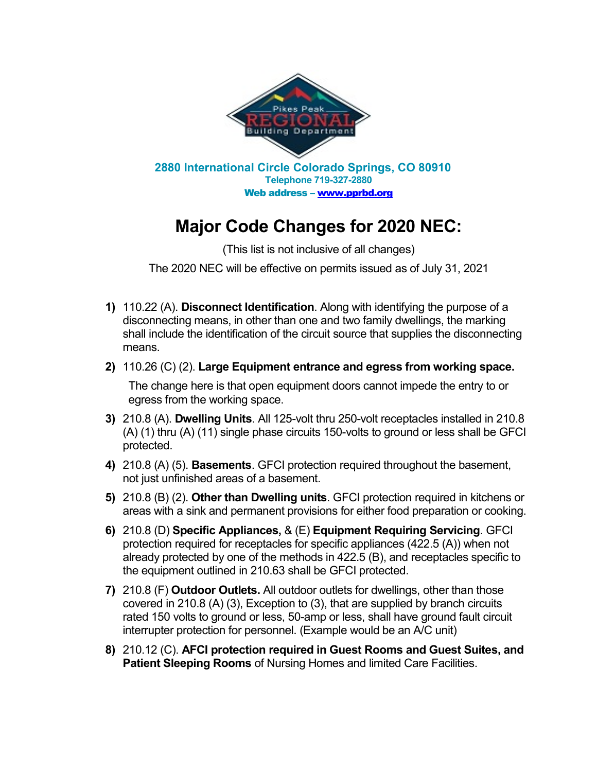

## **Major Code Changes for 2020 NEC:**

(This list is not inclusive of all changes)

The 2020 NEC will be effective on permits issued as of July 31, 2021

- **1)** 110.22 (A). **Disconnect Identification**. Along with identifying the purpose of a disconnecting means, in other than one and two family dwellings, the marking shall include the identification of the circuit source that supplies the disconnecting means.
- **2)** 110.26 (C) (2). **Large Equipment entrance and egress from working space.**

The change here is that open equipment doors cannot impede the entry to or egress from the working space.

- **3)** 210.8 (A). **Dwelling Units**. All 125-volt thru 250-volt receptacles installed in 210.8 (A) (1) thru (A) (11) single phase circuits 150-volts to ground or less shall be GFCI protected.
- **4)** 210.8 (A) (5). **Basements**. GFCI protection required throughout the basement, not just unfinished areas of a basement.
- **5)** 210.8 (B) (2). **Other than Dwelling units**. GFCI protection required in kitchens or areas with a sink and permanent provisions for either food preparation or cooking.
- **6)** 210.8 (D) **Specific Appliances,** & (E) **Equipment Requiring Servicing**. GFCI protection required for receptacles for specific appliances (422.5 (A)) when not already protected by one of the methods in 422.5 (B), and receptacles specific to the equipment outlined in 210.63 shall be GFCI protected.
- **7)** 210.8 (F) **Outdoor Outlets.** All outdoor outlets for dwellings, other than those covered in 210.8 (A) (3), Exception to (3), that are supplied by branch circuits rated 150 volts to ground or less, 50-amp or less, shall have ground fault circuit interrupter protection for personnel. (Example would be an A/C unit)
- **8)** 210.12 (C). **AFCI protection required in Guest Rooms and Guest Suites, and Patient Sleeping Rooms** of Nursing Homes and limited Care Facilities.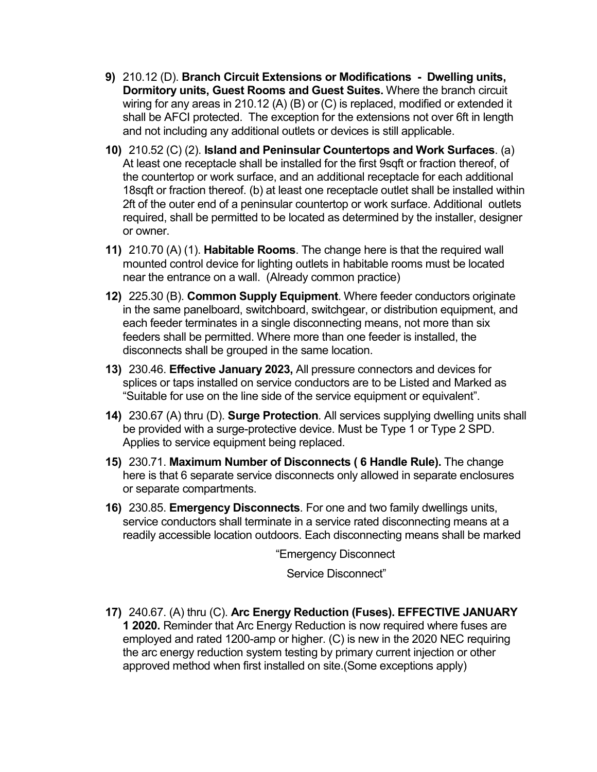- **9)** 210.12 (D). **Branch Circuit Extensions or Modifications Dwelling units, Dormitory units, Guest Rooms and Guest Suites.** Where the branch circuit wiring for any areas in 210.12 (A) (B) or (C) is replaced, modified or extended it shall be AFCI protected. The exception for the extensions not over 6ft in length and not including any additional outlets or devices is still applicable.
- **10)** 210.52 (C) (2). **Island and Peninsular Countertops and Work Surfaces**. (a) At least one receptacle shall be installed for the first 9sqft or fraction thereof, of the countertop or work surface, and an additional receptacle for each additional 18sqft or fraction thereof. (b) at least one receptacle outlet shall be installed within 2ft of the outer end of a peninsular countertop or work surface. Additional outlets required, shall be permitted to be located as determined by the installer, designer or owner.
- **11)** 210.70 (A) (1). **Habitable Rooms**. The change here is that the required wall mounted control device for lighting outlets in habitable rooms must be located near the entrance on a wall. (Already common practice)
- **12)** 225.30 (B). **Common Supply Equipment**. Where feeder conductors originate in the same panelboard, switchboard, switchgear, or distribution equipment, and each feeder terminates in a single disconnecting means, not more than six feeders shall be permitted. Where more than one feeder is installed, the disconnects shall be grouped in the same location.
- **13)** 230.46. **Effective January 2023,** All pressure connectors and devices for splices or taps installed on service conductors are to be Listed and Marked as "Suitable for use on the line side of the service equipment or equivalent".
- **14)** 230.67 (A) thru (D). **Surge Protection**. All services supplying dwelling units shall be provided with a surge-protective device. Must be Type 1 or Type 2 SPD. Applies to service equipment being replaced.
- **15)** 230.71. **Maximum Number of Disconnects ( 6 Handle Rule).** The change here is that 6 separate service disconnects only allowed in separate enclosures or separate compartments.
- **16)** 230.85. **Emergency Disconnects**. For one and two family dwellings units, service conductors shall terminate in a service rated disconnecting means at a readily accessible location outdoors. Each disconnecting means shall be marked

"Emergency Disconnect

Service Disconnect"

**17)** 240.67. (A) thru (C). **Arc Energy Reduction (Fuses). EFFECTIVE JANUARY 1 2020.** Reminder that Arc Energy Reduction is now required where fuses are employed and rated 1200-amp or higher. (C) is new in the 2020 NEC requiring the arc energy reduction system testing by primary current injection or other approved method when first installed on site.(Some exceptions apply)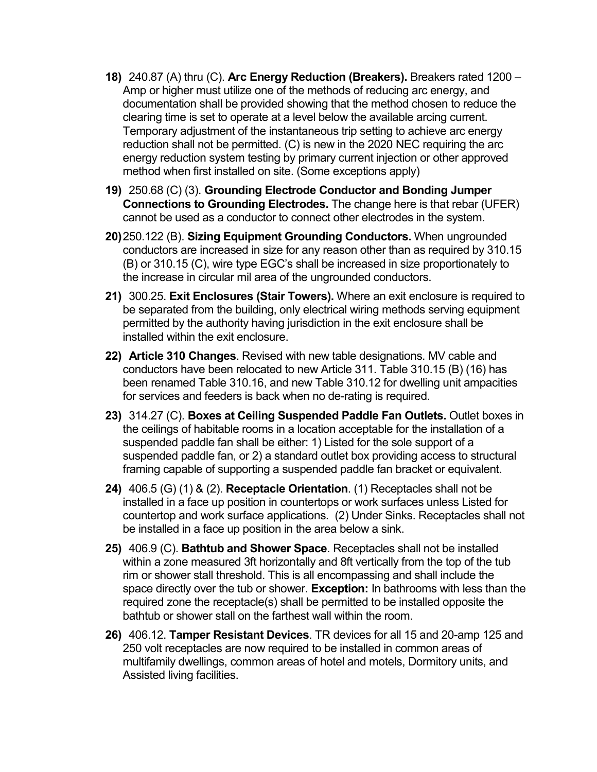- **18)** 240.87 (A) thru (C). **Arc Energy Reduction (Breakers).** Breakers rated 1200 Amp or higher must utilize one of the methods of reducing arc energy, and documentation shall be provided showing that the method chosen to reduce the clearing time is set to operate at a level below the available arcing current. Temporary adjustment of the instantaneous trip setting to achieve arc energy reduction shall not be permitted. (C) is new in the 2020 NEC requiring the arc energy reduction system testing by primary current injection or other approved method when first installed on site. (Some exceptions apply)
- **19)** 250.68 (C) (3). **Grounding Electrode Conductor and Bonding Jumper Connections to Grounding Electrodes.** The change here is that rebar (UFER) cannot be used as a conductor to connect other electrodes in the system.
- **20)**250.122 (B). **Sizing Equipment Grounding Conductors.** When ungrounded conductors are increased in size for any reason other than as required by 310.15 (B) or 310.15 (C), wire type EGC's shall be increased in size proportionately to the increase in circular mil area of the ungrounded conductors.
- **21)** 300.25. **Exit Enclosures (Stair Towers).** Where an exit enclosure is required to be separated from the building, only electrical wiring methods serving equipment permitted by the authority having jurisdiction in the exit enclosure shall be installed within the exit enclosure.
- **22) Article 310 Changes**. Revised with new table designations. MV cable and conductors have been relocated to new Article 311. Table 310.15 (B) (16) has been renamed Table 310.16, and new Table 310.12 for dwelling unit ampacities for services and feeders is back when no de-rating is required.
- **23)** 314.27 (C). **Boxes at Ceiling Suspended Paddle Fan Outlets.** Outlet boxes in the ceilings of habitable rooms in a location acceptable for the installation of a suspended paddle fan shall be either: 1) Listed for the sole support of a suspended paddle fan, or 2) a standard outlet box providing access to structural framing capable of supporting a suspended paddle fan bracket or equivalent.
- **24)** 406.5 (G) (1) & (2). **Receptacle Orientation**. (1) Receptacles shall not be installed in a face up position in countertops or work surfaces unless Listed for countertop and work surface applications. (2) Under Sinks. Receptacles shall not be installed in a face up position in the area below a sink.
- **25)** 406.9 (C). **Bathtub and Shower Space**. Receptacles shall not be installed within a zone measured 3ft horizontally and 8ft vertically from the top of the tub rim or shower stall threshold. This is all encompassing and shall include the space directly over the tub or shower. **Exception:** In bathrooms with less than the required zone the receptacle(s) shall be permitted to be installed opposite the bathtub or shower stall on the farthest wall within the room.
- **26)** 406.12. **Tamper Resistant Devices**. TR devices for all 15 and 20-amp 125 and 250 volt receptacles are now required to be installed in common areas of multifamily dwellings, common areas of hotel and motels, Dormitory units, and Assisted living facilities.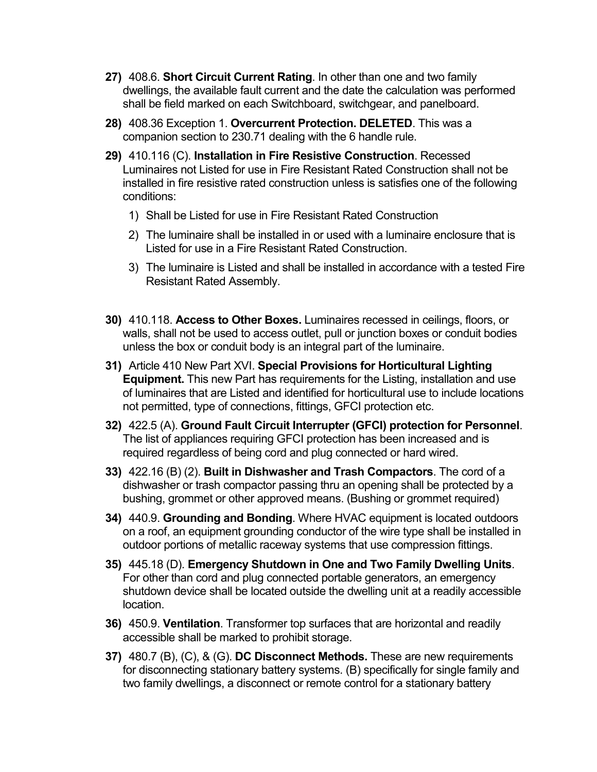- **27)** 408.6. **Short Circuit Current Rating**. In other than one and two family dwellings, the available fault current and the date the calculation was performed shall be field marked on each Switchboard, switchgear, and panelboard.
- **28)** 408.36 Exception 1. **Overcurrent Protection. DELETED**. This was a companion section to 230.71 dealing with the 6 handle rule.
- **29)** 410.116 (C). **Installation in Fire Resistive Construction**. Recessed Luminaires not Listed for use in Fire Resistant Rated Construction shall not be installed in fire resistive rated construction unless is satisfies one of the following conditions:
	- 1) Shall be Listed for use in Fire Resistant Rated Construction
	- 2) The luminaire shall be installed in or used with a luminaire enclosure that is Listed for use in a Fire Resistant Rated Construction.
	- 3) The luminaire is Listed and shall be installed in accordance with a tested Fire Resistant Rated Assembly.
- **30)** 410.118. **Access to Other Boxes.** Luminaires recessed in ceilings, floors, or walls, shall not be used to access outlet, pull or junction boxes or conduit bodies unless the box or conduit body is an integral part of the luminaire.
- **31)** Article 410 New Part XVI. **Special Provisions for Horticultural Lighting Equipment.** This new Part has requirements for the Listing, installation and use of luminaires that are Listed and identified for horticultural use to include locations not permitted, type of connections, fittings, GFCI protection etc.
- **32)** 422.5 (A). **Ground Fault Circuit Interrupter (GFCI) protection for Personnel**. The list of appliances requiring GFCI protection has been increased and is required regardless of being cord and plug connected or hard wired.
- **33)** 422.16 (B) (2). **Built in Dishwasher and Trash Compactors**. The cord of a dishwasher or trash compactor passing thru an opening shall be protected by a bushing, grommet or other approved means. (Bushing or grommet required)
- **34)** 440.9. **Grounding and Bonding**. Where HVAC equipment is located outdoors on a roof, an equipment grounding conductor of the wire type shall be installed in outdoor portions of metallic raceway systems that use compression fittings.
- **35)** 445.18 (D). **Emergency Shutdown in One and Two Family Dwelling Units**. For other than cord and plug connected portable generators, an emergency shutdown device shall be located outside the dwelling unit at a readily accessible location.
- **36)** 450.9. **Ventilation**. Transformer top surfaces that are horizontal and readily accessible shall be marked to prohibit storage.
- **37)** 480.7 (B), (C), & (G). **DC Disconnect Methods.** These are new requirements for disconnecting stationary battery systems. (B) specifically for single family and two family dwellings, a disconnect or remote control for a stationary battery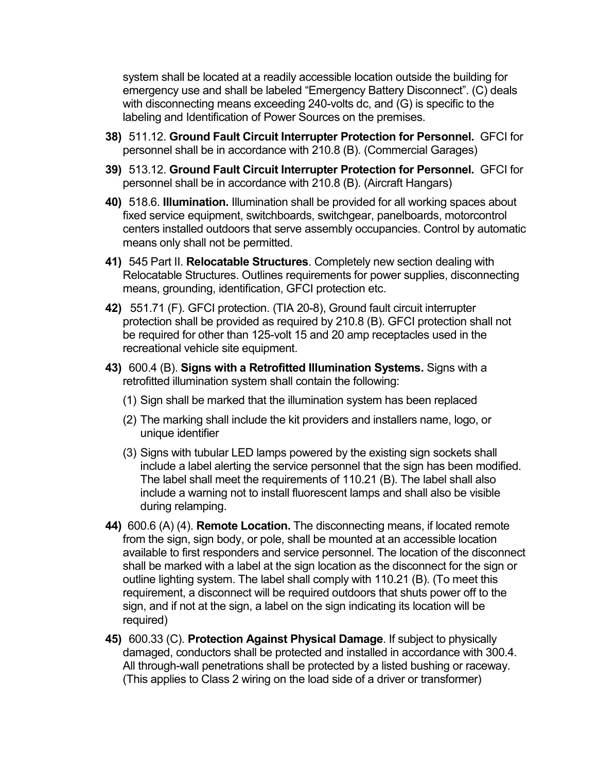system shall be located at a readily accessible location outside the building for emergency use and shall be labeled "Emergency Battery Disconnect". (C) deals with disconnecting means exceeding 240-volts dc, and (G) is specific to the labeling and Identification of Power Sources on the premises.

- **38)** 511.12. **Ground Fault Circuit Interrupter Protection for Personnel.** GFCI for personnel shall be in accordance with 210.8 (B). (Commercial Garages)
- **39)** 513.12. **Ground Fault Circuit Interrupter Protection for Personnel.** GFCI for personnel shall be in accordance with 210.8 (B). (Aircraft Hangars)
- **40)** 518.6. **Illumination.** Illumination shall be provided for all working spaces about fixed service equipment, switchboards, switchgear, panelboards, motorcontrol centers installed outdoors that serve assembly occupancies. Control by automatic means only shall not be permitted.
- **41)** 545 Part II. **Relocatable Structures**. Completely new section dealing with Relocatable Structures. Outlines requirements for power supplies, disconnecting means, grounding, identification, GFCI protection etc.
- **42)** 551.71 (F). GFCI protection. (TIA 20-8), Ground fault circuit interrupter protection shall be provided as required by 210.8 (B). GFCI protection shall not be required for other than 125-volt 15 and 20 amp receptacles used in the recreational vehicle site equipment.
- **43)** 600.4 (B). **Signs with a Retrofitted Illumination Systems.** Signs with a retrofitted illumination system shall contain the following:
	- (1) Sign shall be marked that the illumination system has been replaced
	- (2) The marking shall include the kit providers and installers name, logo, or unique identifier
	- (3) Signs with tubular LED lamps powered by the existing sign sockets shall include a label alerting the service personnel that the sign has been modified. The label shall meet the requirements of 110.21 (B). The label shall also include a warning not to install fluorescent lamps and shall also be visible during relamping.
- **44)** 600.6 (A) (4). **Remote Location.** The disconnecting means, if located remote from the sign, sign body, or pole, shall be mounted at an accessible location available to first responders and service personnel. The location of the disconnect shall be marked with a label at the sign location as the disconnect for the sign or outline lighting system. The label shall comply with 110.21 (B). (To meet this requirement, a disconnect will be required outdoors that shuts power off to the sign, and if not at the sign, a label on the sign indicating its location will be required)
- **45)** 600.33 (C). **Protection Against Physical Damage**. If subject to physically damaged, conductors shall be protected and installed in accordance with 300.4. All through-wall penetrations shall be protected by a listed bushing or raceway. (This applies to Class 2 wiring on the load side of a driver or transformer)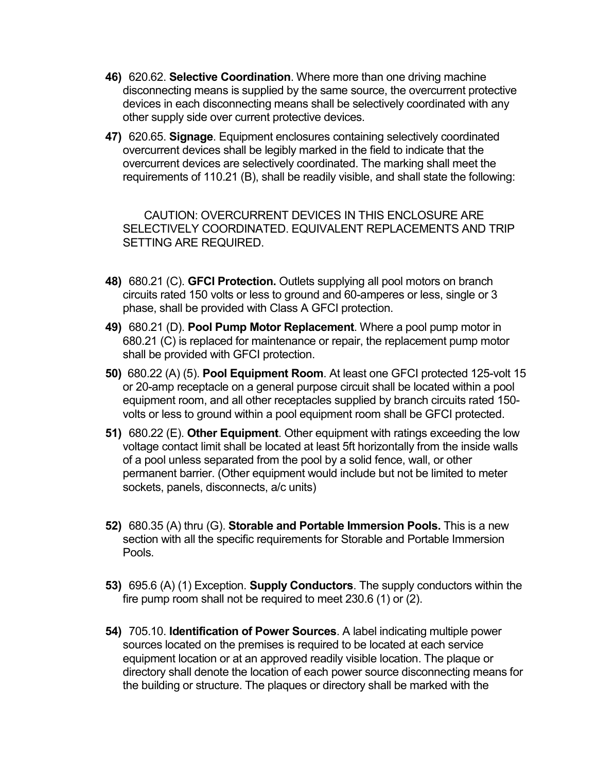- **46)** 620.62. **Selective Coordination**. Where more than one driving machine disconnecting means is supplied by the same source, the overcurrent protective devices in each disconnecting means shall be selectively coordinated with any other supply side over current protective devices.
- **47)** 620.65. **Signage**. Equipment enclosures containing selectively coordinated overcurrent devices shall be legibly marked in the field to indicate that the overcurrent devices are selectively coordinated. The marking shall meet the requirements of 110.21 (B), shall be readily visible, and shall state the following:

 CAUTION: OVERCURRENT DEVICES IN THIS ENCLOSURE ARE SELECTIVELY COORDINATED. EQUIVALENT REPLACEMENTS AND TRIP SETTING ARE REQUIRED.

- **48)** 680.21 (C). **GFCI Protection.** Outlets supplying all pool motors on branch circuits rated 150 volts or less to ground and 60-amperes or less, single or 3 phase, shall be provided with Class A GFCI protection.
- **49)** 680.21 (D). **Pool Pump Motor Replacement**. Where a pool pump motor in 680.21 (C) is replaced for maintenance or repair, the replacement pump motor shall be provided with GFCI protection.
- **50)** 680.22 (A) (5). **Pool Equipment Room**. At least one GFCI protected 125-volt 15 or 20-amp receptacle on a general purpose circuit shall be located within a pool equipment room, and all other receptacles supplied by branch circuits rated 150 volts or less to ground within a pool equipment room shall be GFCI protected.
- **51)** 680.22 (E). **Other Equipment**. Other equipment with ratings exceeding the low voltage contact limit shall be located at least 5ft horizontally from the inside walls of a pool unless separated from the pool by a solid fence, wall, or other permanent barrier. (Other equipment would include but not be limited to meter sockets, panels, disconnects, a/c units)
- **52)** 680.35 (A) thru (G). **Storable and Portable Immersion Pools.** This is a new section with all the specific requirements for Storable and Portable Immersion Pools.
- **53)** 695.6 (A) (1) Exception. **Supply Conductors**. The supply conductors within the fire pump room shall not be required to meet 230.6 (1) or (2).
- **54)** 705.10. **Identification of Power Sources**. A label indicating multiple power sources located on the premises is required to be located at each service equipment location or at an approved readily visible location. The plaque or directory shall denote the location of each power source disconnecting means for the building or structure. The plaques or directory shall be marked with the